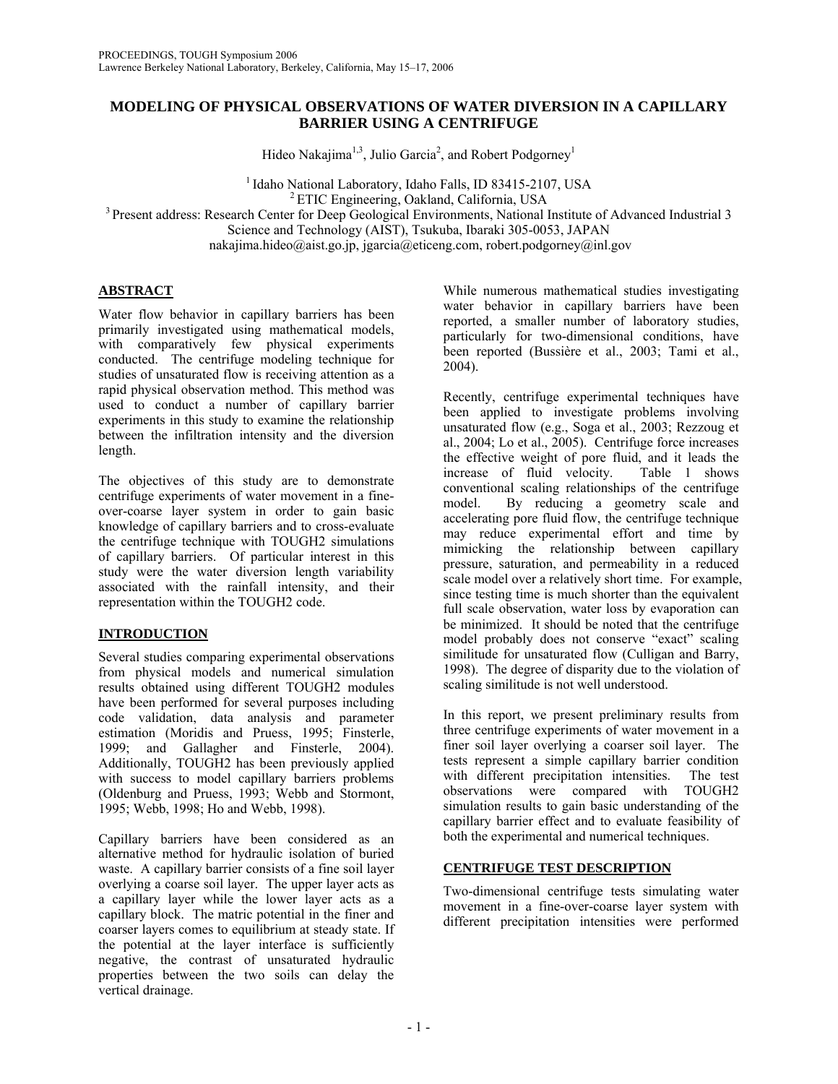# **MODELING OF PHYSICAL OBSERVATIONS OF WATER DIVERSION IN A CAPILLARY BARRIER USING A CENTRIFUGE**

Hideo Nakajima<sup>1,3</sup>, Julio Garcia<sup>2</sup>, and Robert Podgorney<sup>1</sup>

<sup>1</sup> Idaho National Laboratory, Idaho Falls, ID 83415-2107, USA<br><sup>2</sup> ETIC Engineering, Oakland, California, USA<br><sup>3</sup> Present address: Research Center for Deep Geological Environments, National Institute of Advanced Industrial Science and Technology (AIST), Tsukuba, Ibaraki 305-0053, JAPAN

nakajima.hideo@aist.go.jp, jgarcia@eticeng.com, robert.podgorney@inl.gov

## **ABSTRACT**

Water flow behavior in capillary barriers has been primarily investigated using mathematical models, with comparatively few physical experiments conducted. The centrifuge modeling technique for studies of unsaturated flow is receiving attention as a rapid physical observation method. This method was used to conduct a number of capillary barrier experiments in this study to examine the relationship between the infiltration intensity and the diversion length.

The objectives of this study are to demonstrate centrifuge experiments of water movement in a fineover-coarse layer system in order to gain basic knowledge of capillary barriers and to cross-evaluate the centrifuge technique with TOUGH2 simulations of capillary barriers. Of particular interest in this study were the water diversion length variability associated with the rainfall intensity, and their representation within the TOUGH2 code.

# **INTRODUCTION**

Several studies comparing experimental observations from physical models and numerical simulation results obtained using different TOUGH2 modules have been performed for several purposes including code validation, data analysis and parameter estimation (Moridis and Pruess, 1995; Finsterle, 1999; and Gallagher and Finsterle, 2004). Additionally, TOUGH2 has been previously applied with success to model capillary barriers problems (Oldenburg and Pruess, 1993; Webb and Stormont, 1995; Webb, 1998; Ho and Webb, 1998).

Capillary barriers have been considered as an alternative method for hydraulic isolation of buried waste. A capillary barrier consists of a fine soil layer overlying a coarse soil layer. The upper layer acts as a capillary layer while the lower layer acts as a capillary block. The matric potential in the finer and coarser layers comes to equilibrium at steady state. If the potential at the layer interface is sufficiently negative, the contrast of unsaturated hydraulic properties between the two soils can delay the vertical drainage.

While numerous mathematical studies investigating water behavior in capillary barriers have been reported, a smaller number of laboratory studies, particularly for two-dimensional conditions, have been reported (Bussière et al., 2003; Tami et al., 2004).

Recently, centrifuge experimental techniques have been applied to investigate problems involving unsaturated flow (e.g., Soga et al., 2003; Rezzoug et al., 2004; Lo et al., 2005). Centrifuge force increases the effective weight of pore fluid, and it leads the increase of fluid velocity. Table 1 shows conventional scaling relationships of the centrifuge model. By reducing a geometry scale and accelerating pore fluid flow, the centrifuge technique may reduce experimental effort and time by mimicking the relationship between capillary pressure, saturation, and permeability in a reduced scale model over a relatively short time. For example, since testing time is much shorter than the equivalent full scale observation, water loss by evaporation can be minimized. It should be noted that the centrifuge model probably does not conserve "exact" scaling similitude for unsaturated flow (Culligan and Barry, 1998). The degree of disparity due to the violation of scaling similitude is not well understood.

In this report, we present preliminary results from three centrifuge experiments of water movement in a finer soil layer overlying a coarser soil layer. The tests represent a simple capillary barrier condition with different precipitation intensities. The test observations were compared with TOUGH2 simulation results to gain basic understanding of the capillary barrier effect and to evaluate feasibility of both the experimental and numerical techniques.

## **CENTRIFUGE TEST DESCRIPTION**

Two-dimensional centrifuge tests simulating water movement in a fine-over-coarse layer system with different precipitation intensities were performed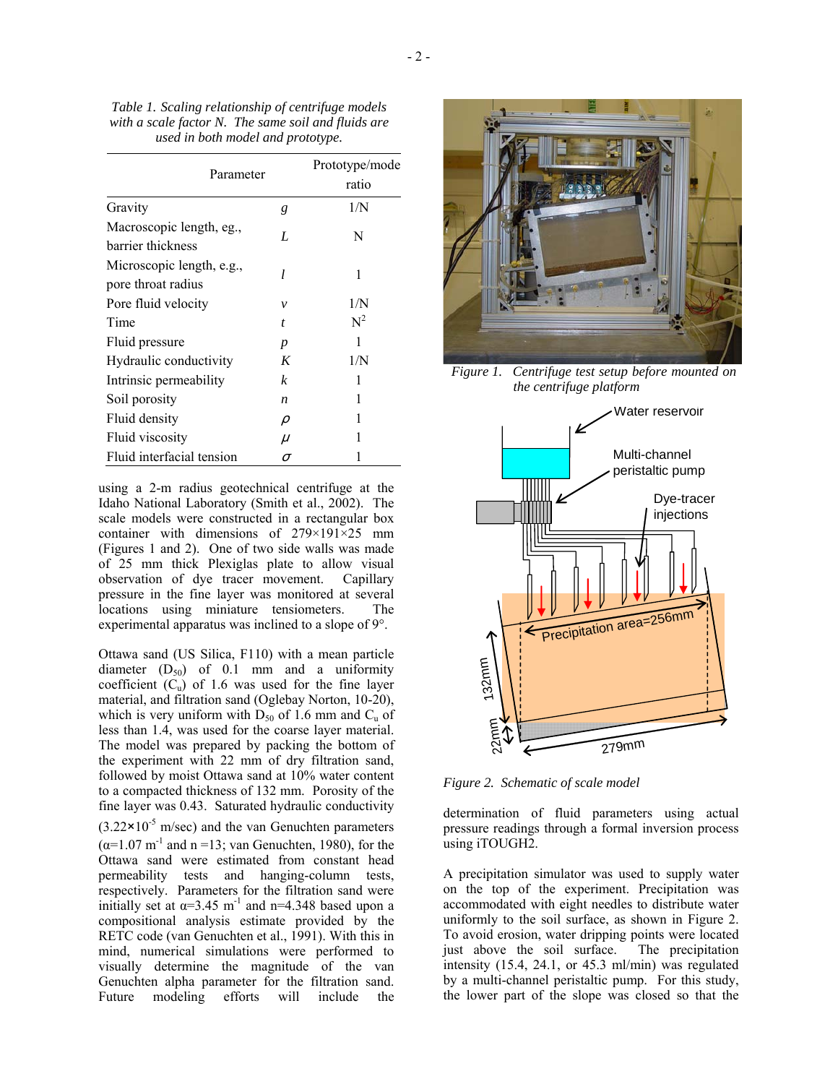| Parameter                                       |                  | ratio |
|-------------------------------------------------|------------------|-------|
| Gravity                                         | g                | 1/N   |
| Macroscopic length, eg.,<br>barrier thickness   | L                | N     |
| Microscopic length, e.g.,<br>pore throat radius | 1                | 1     |
| Pore fluid velocity                             | ν                | 1/N   |
| Time                                            | $\boldsymbol{t}$ | $N^2$ |
| Fluid pressure                                  | p                | 1     |
| Hydraulic conductivity                          | K                | 1/N   |
| Intrinsic permeability                          | k                | 1     |
| Soil porosity                                   | $\boldsymbol{n}$ | 1     |
| Fluid density                                   | ρ                | 1     |
| Fluid viscosity                                 | $\mu$            | 1     |
| Fluid interfacial tension                       | σ                |       |

using a 2-m radius geotechnical centrifuge at the Idaho National Laboratory (Smith et al., 2002). The scale models were constructed in a rectangular box container with dimensions of 279×191×25 mm (Figures 1 and 2). One of two side walls was made of 25 mm thick Plexiglas plate to allow visual observation of dye tracer movement. Capillary pressure in the fine layer was monitored at several locations using miniature tensiometers. The experimental apparatus was inclined to a slope of 9°.

Ottawa sand (US Silica, F110) with a mean particle diameter  $(D_{50})$  of 0.1 mm and a uniformity coefficient  $(C_u)$  of 1.6 was used for the fine layer material, and filtration sand (Oglebay Norton, 10-20), which is very uniform with  $D_{50}$  of 1.6 mm and  $C_u$  of less than 1.4, was used for the coarse layer material. The model was prepared by packing the bottom of the experiment with 22 mm of dry filtration sand, followed by moist Ottawa sand at 10% water content to a compacted thickness of 132 mm. Porosity of the fine layer was 0.43. Saturated hydraulic conductivity  $(3.22 \times 10^{-5} \text{ m/sec})$  and the van Genuchten parameters  $(\alpha=1.07 \text{ m}^{-1}$  and n =13; van Genuchten, 1980), for the Ottawa sand were estimated from constant head permeability tests and hanging-column tests, respectively. Parameters for the filtration sand were initially set at  $\alpha$ =3.45 m<sup>-1</sup> and n=4.348 based upon a compositional analysis estimate provided by the RETC code (van Genuchten et al., 1991). With this in mind, numerical simulations were performed to visually determine the magnitude of the van Genuchten alpha parameter for the filtration sand. Future modeling efforts will include the



*Figure 1. Centrifuge test setup before mounted on the centrifuge platform* 



*Figure 2. Schematic of scale model*

determination of fluid parameters using actual pressure readings through a formal inversion process using iTOUGH2.

A precipitation simulator was used to supply water on the top of the experiment. Precipitation was accommodated with eight needles to distribute water uniformly to the soil surface, as shown in Figure 2. To avoid erosion, water dripping points were located just above the soil surface. The precipitation intensity (15.4, 24.1, or 45.3 ml/min) was regulated by a multi-channel peristaltic pump. For this study, the lower part of the slope was closed so that the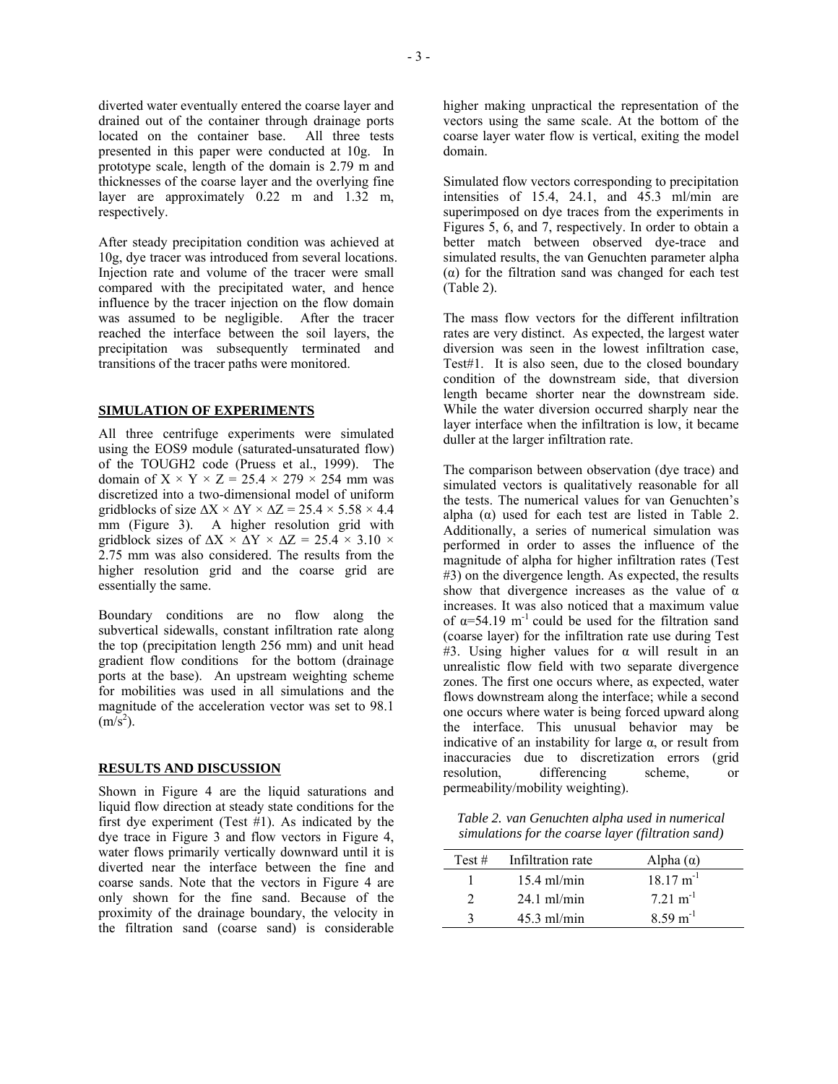diverted water eventually entered the coarse layer and drained out of the container through drainage ports located on the container base. All three tests presented in this paper were conducted at 10g. In prototype scale, length of the domain is 2.79 m and thicknesses of the coarse layer and the overlying fine layer are approximately 0.22 m and 1.32 m, respectively.

After steady precipitation condition was achieved at 10g, dye tracer was introduced from several locations. Injection rate and volume of the tracer were small compared with the precipitated water, and hence influence by the tracer injection on the flow domain was assumed to be negligible. After the tracer reached the interface between the soil layers, the precipitation was subsequently terminated and transitions of the tracer paths were monitored.

#### **SIMULATION OF EXPERIMENTS**

All three centrifuge experiments were simulated using the EOS9 module (saturated-unsaturated flow) of the TOUGH2 code (Pruess et al., 1999). The domain of  $X \times Y \times Z = 25.4 \times 279 \times 254$  mm was discretized into a two-dimensional model of uniform gridblocks of size  $\Delta X \times \Delta Y \times \Delta Z = 25.4 \times 5.58 \times 4.4$ mm (Figure 3). A higher resolution grid with gridblock sizes of  $\Delta X \times \Delta Y \times \Delta Z = 25.4 \times 3.10 \times$ 2.75 mm was also considered. The results from the higher resolution grid and the coarse grid are essentially the same.

Boundary conditions are no flow along the subvertical sidewalls, constant infiltration rate along the top (precipitation length 256 mm) and unit head gradient flow conditions for the bottom (drainage ports at the base). An upstream weighting scheme for mobilities was used in all simulations and the magnitude of the acceleration vector was set to 98.1  $(m/s<sup>2</sup>)$ .

### **RESULTS AND DISCUSSION**

Shown in Figure 4 are the liquid saturations and liquid flow direction at steady state conditions for the first dye experiment (Test  $#1$ ). As indicated by the dye trace in Figure 3 and flow vectors in Figure 4, water flows primarily vertically downward until it is diverted near the interface between the fine and coarse sands. Note that the vectors in Figure 4 are only shown for the fine sand. Because of the proximity of the drainage boundary, the velocity in the filtration sand (coarse sand) is considerable

higher making unpractical the representation of the vectors using the same scale. At the bottom of the coarse layer water flow is vertical, exiting the model domain.

Simulated flow vectors corresponding to precipitation intensities of 15.4, 24.1, and 45.3 ml/min are superimposed on dye traces from the experiments in Figures 5, 6, and 7, respectively. In order to obtain a better match between observed dye-trace and simulated results, the van Genuchten parameter alpha (α) for the filtration sand was changed for each test (Table 2).

The mass flow vectors for the different infiltration rates are very distinct. As expected, the largest water diversion was seen in the lowest infiltration case, Test#1. It is also seen, due to the closed boundary condition of the downstream side, that diversion length became shorter near the downstream side. While the water diversion occurred sharply near the layer interface when the infiltration is low, it became duller at the larger infiltration rate.

The comparison between observation (dye trace) and simulated vectors is qualitatively reasonable for all the tests. The numerical values for van Genuchten's alpha  $(\alpha)$  used for each test are listed in Table 2. Additionally, a series of numerical simulation was performed in order to asses the influence of the magnitude of alpha for higher infiltration rates (Test #3) on the divergence length. As expected, the results show that divergence increases as the value of  $\alpha$ increases. It was also noticed that a maximum value of  $\alpha$ =54.19 m<sup>-1</sup> could be used for the filtration sand (coarse layer) for the infiltration rate use during Test  $#3$ . Using higher values for α will result in an unrealistic flow field with two separate divergence zones. The first one occurs where, as expected, water flows downstream along the interface; while a second one occurs where water is being forced upward along the interface. This unusual behavior may be indicative of an instability for large  $\alpha$ , or result from inaccuracies due to discretization errors (grid resolution, differencing scheme, or permeability/mobility weighting).

*Table 2. van Genuchten alpha used in numerical simulations for the coarse layer (filtration sand)* 

| Test $#$ | Infiltration rate | Alpha $(\alpha)$       |
|----------|-------------------|------------------------|
|          | $15.4$ ml/min     | $18.17 \text{ m}^{-1}$ |
| ∍        | $24.1$ ml/min     | $7.21 \text{ m}^{-1}$  |
| 2        | $45.3$ ml/min     | $8.59 \text{ m}^{-1}$  |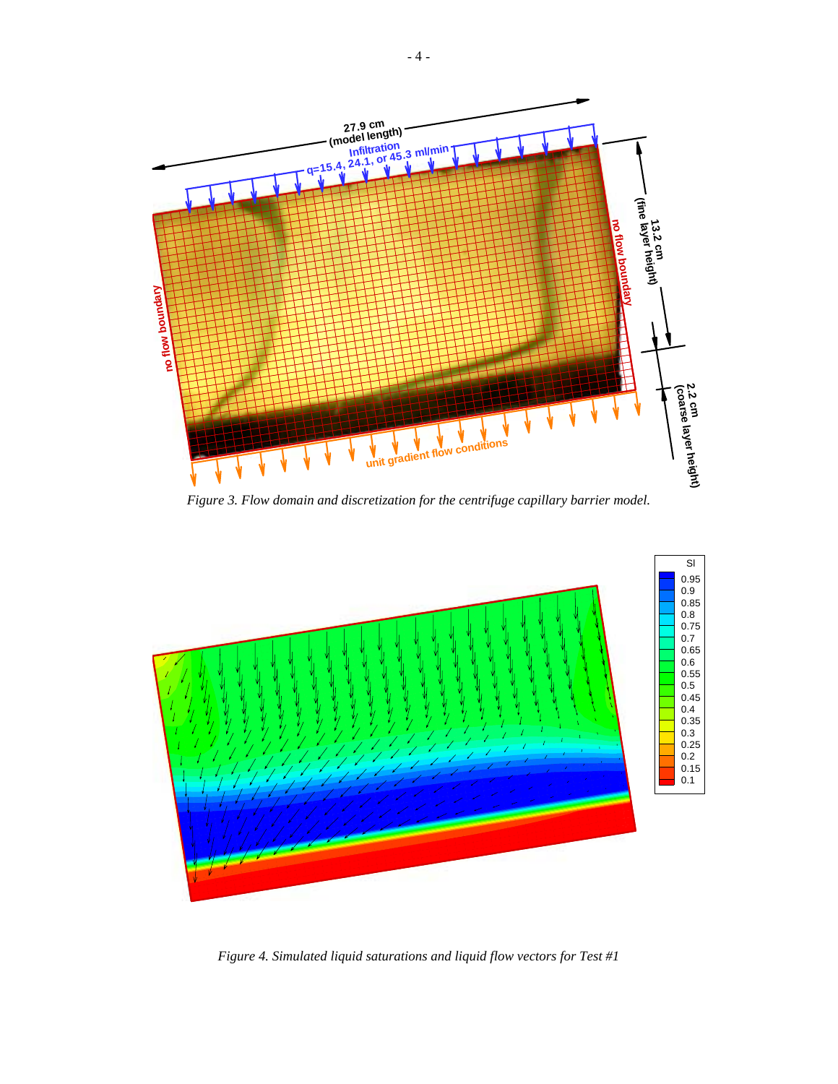

*Figure 3. Flow domain and discretization for the centrifuge capillary barrier model.* 



*Figure 4. Simulated liquid saturations and liquid flow vectors for Test #1*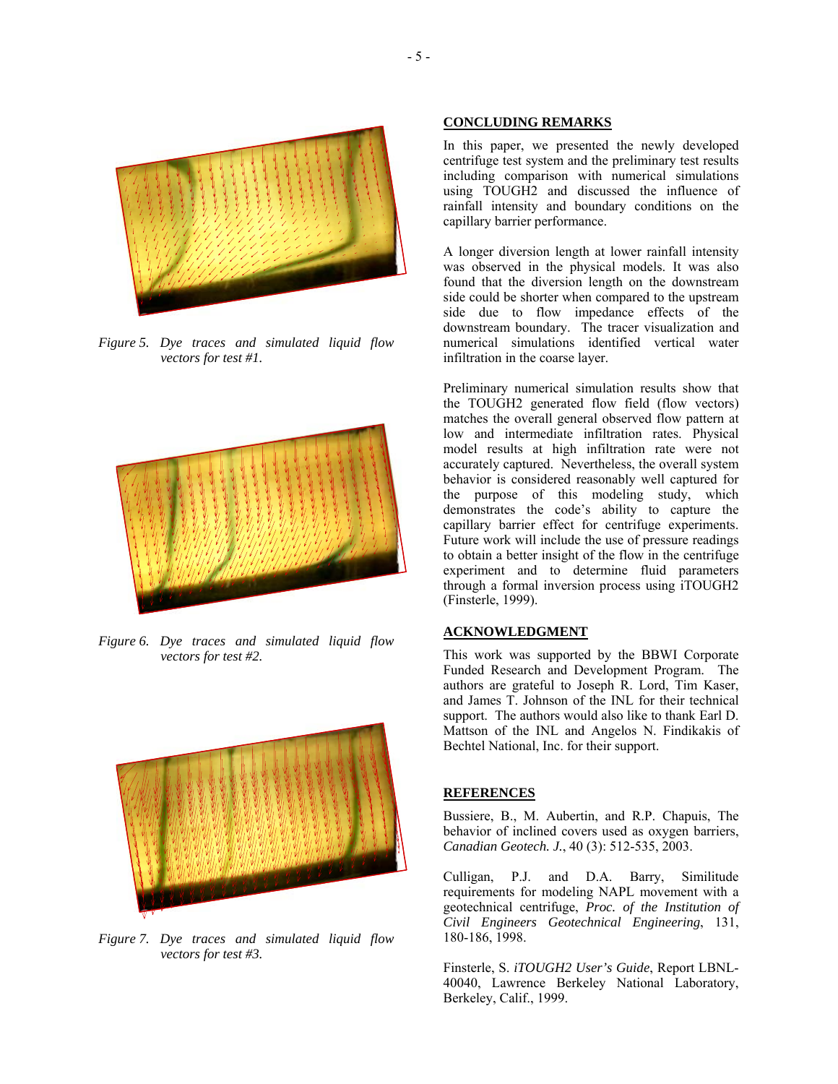

*Figure 5. Dye traces and simulated liquid flow vectors for test #1.* 



*Figure 6. Dye traces and simulated liquid flow vectors for test #2.* 



*Figure 7. Dye traces and simulated liquid flow vectors for test #3.* 

#### **CONCLUDING REMARKS**

In this paper, we presented the newly developed centrifuge test system and the preliminary test results including comparison with numerical simulations using TOUGH2 and discussed the influence of rainfall intensity and boundary conditions on the capillary barrier performance.

A longer diversion length at lower rainfall intensity was observed in the physical models. It was also found that the diversion length on the downstream side could be shorter when compared to the upstream side due to flow impedance effects of the downstream boundary. The tracer visualization and numerical simulations identified vertical water infiltration in the coarse layer.

Preliminary numerical simulation results show that the TOUGH2 generated flow field (flow vectors) matches the overall general observed flow pattern at low and intermediate infiltration rates. Physical model results at high infiltration rate were not accurately captured. Nevertheless, the overall system behavior is considered reasonably well captured for the purpose of this modeling study, which demonstrates the code's ability to capture the capillary barrier effect for centrifuge experiments. Future work will include the use of pressure readings to obtain a better insight of the flow in the centrifuge experiment and to determine fluid parameters through a formal inversion process using iTOUGH2 (Finsterle, 1999).

### **ACKNOWLEDGMENT**

This work was supported by the BBWI Corporate Funded Research and Development Program. The authors are grateful to Joseph R. Lord, Tim Kaser, and James T. Johnson of the INL for their technical support. The authors would also like to thank Earl D. Mattson of the INL and Angelos N. Findikakis of Bechtel National, Inc. for their support.

#### **REFERENCES**

Bussiere, B., M. Aubertin, and R.P. Chapuis, The behavior of inclined covers used as oxygen barriers, *Canadian Geotech. J.*, 40 (3): 512-535, 2003.

Culligan, P.J. and D.A. Barry, Similitude requirements for modeling NAPL movement with a geotechnical centrifuge, *Proc. of the Institution of Civil Engineers Geotechnical Engineering*, 131, 180-186, 1998.

Finsterle, S. *iTOUGH2 User's Guide*, Report LBNL-40040, Lawrence Berkeley National Laboratory, Berkeley, Calif., 1999.